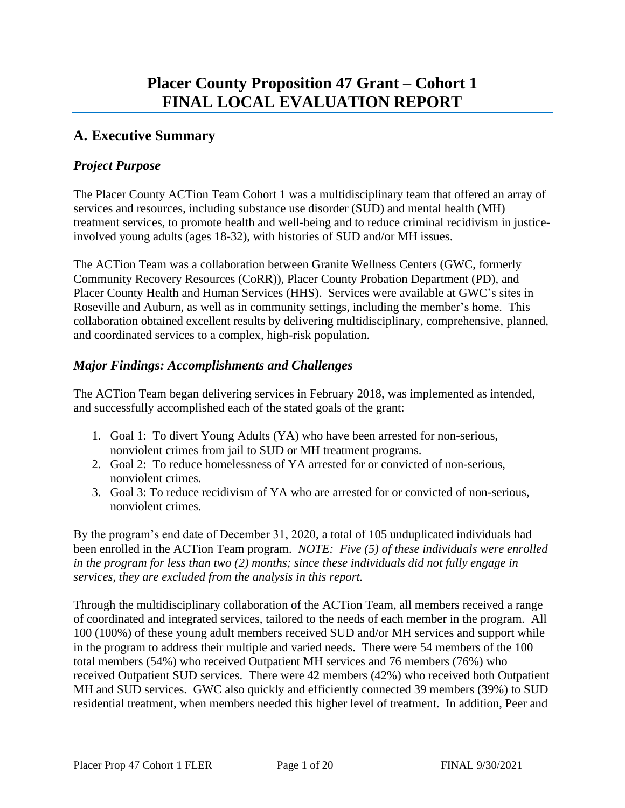# **A. Executive Summary**

#### *Project Purpose*

The Placer County ACTion Team Cohort 1 was a multidisciplinary team that offered an array of services and resources, including substance use disorder (SUD) and mental health (MH) treatment services, to promote health and well-being and to reduce criminal recidivism in justiceinvolved young adults (ages 18-32), with histories of SUD and/or MH issues.

The ACTion Team was a collaboration between Granite Wellness Centers (GWC, formerly Community Recovery Resources (CoRR)), Placer County Probation Department (PD), and Placer County Health and Human Services (HHS). Services were available at GWC's sites in Roseville and Auburn, as well as in community settings, including the member's home. This collaboration obtained excellent results by delivering multidisciplinary, comprehensive, planned, and coordinated services to a complex, high-risk population.

### *Major Findings: Accomplishments and Challenges*

The ACTion Team began delivering services in February 2018, was implemented as intended, and successfully accomplished each of the stated goals of the grant:

- 1. Goal 1: To divert Young Adults (YA) who have been arrested for non-serious, nonviolent crimes from jail to SUD or MH treatment programs.
- 2. Goal 2: To reduce homelessness of YA arrested for or convicted of non-serious, nonviolent crimes.
- 3. Goal 3: To reduce recidivism of YA who are arrested for or convicted of non-serious, nonviolent crimes.

By the program's end date of December 31, 2020, a total of 105 unduplicated individuals had been enrolled in the ACTion Team program. *NOTE: Five (5) of these individuals were enrolled in the program for less than two (2) months; since these individuals did not fully engage in services, they are excluded from the analysis in this report.*

Through the multidisciplinary collaboration of the ACTion Team, all members received a range of coordinated and integrated services, tailored to the needs of each member in the program. All 100 (100%) of these young adult members received SUD and/or MH services and support while in the program to address their multiple and varied needs. There were 54 members of the 100 total members (54%) who received Outpatient MH services and 76 members (76%) who received Outpatient SUD services. There were 42 members (42%) who received both Outpatient MH and SUD services. GWC also quickly and efficiently connected 39 members (39%) to SUD residential treatment, when members needed this higher level of treatment. In addition, Peer and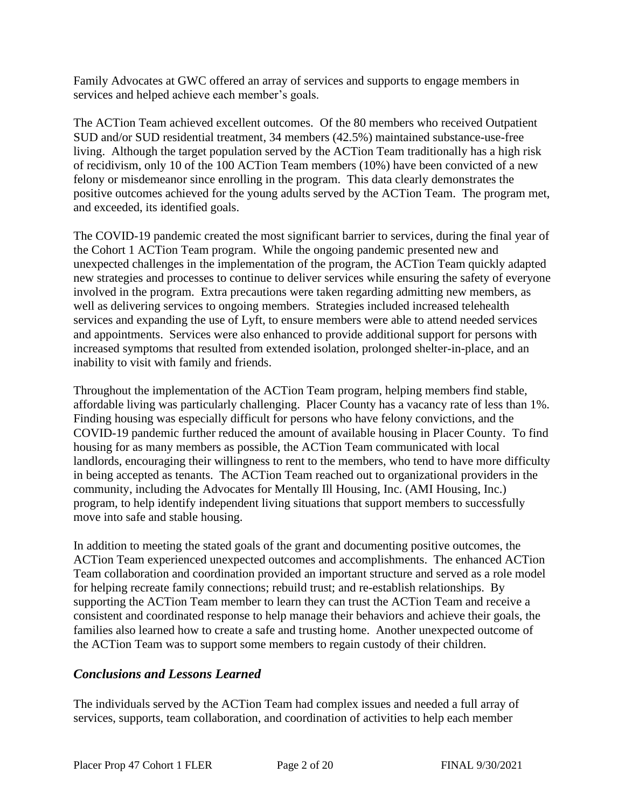Family Advocates at GWC offered an array of services and supports to engage members in services and helped achieve each member's goals.

The ACTion Team achieved excellent outcomes. Of the 80 members who received Outpatient SUD and/or SUD residential treatment, 34 members (42.5%) maintained substance-use-free living. Although the target population served by the ACTion Team traditionally has a high risk of recidivism, only 10 of the 100 ACTion Team members (10%) have been convicted of a new felony or misdemeanor since enrolling in the program. This data clearly demonstrates the positive outcomes achieved for the young adults served by the ACTion Team. The program met, and exceeded, its identified goals.

The COVID-19 pandemic created the most significant barrier to services, during the final year of the Cohort 1 ACTion Team program. While the ongoing pandemic presented new and unexpected challenges in the implementation of the program, the ACTion Team quickly adapted new strategies and processes to continue to deliver services while ensuring the safety of everyone involved in the program. Extra precautions were taken regarding admitting new members, as well as delivering services to ongoing members. Strategies included increased telehealth services and expanding the use of Lyft, to ensure members were able to attend needed services and appointments. Services were also enhanced to provide additional support for persons with increased symptoms that resulted from extended isolation, prolonged shelter-in-place, and an inability to visit with family and friends.

Throughout the implementation of the ACTion Team program, helping members find stable, affordable living was particularly challenging. Placer County has a vacancy rate of less than 1%. Finding housing was especially difficult for persons who have felony convictions, and the COVID-19 pandemic further reduced the amount of available housing in Placer County. To find housing for as many members as possible, the ACTion Team communicated with local landlords, encouraging their willingness to rent to the members, who tend to have more difficulty in being accepted as tenants. The ACTion Team reached out to organizational providers in the community, including the Advocates for Mentally Ill Housing, Inc. (AMI Housing, Inc.) program, to help identify independent living situations that support members to successfully move into safe and stable housing.

In addition to meeting the stated goals of the grant and documenting positive outcomes, the ACTion Team experienced unexpected outcomes and accomplishments. The enhanced ACTion Team collaboration and coordination provided an important structure and served as a role model for helping recreate family connections; rebuild trust; and re-establish relationships. By supporting the ACTion Team member to learn they can trust the ACTion Team and receive a consistent and coordinated response to help manage their behaviors and achieve their goals, the families also learned how to create a safe and trusting home. Another unexpected outcome of the ACTion Team was to support some members to regain custody of their children.

#### *Conclusions and Lessons Learned*

The individuals served by the ACTion Team had complex issues and needed a full array of services, supports, team collaboration, and coordination of activities to help each member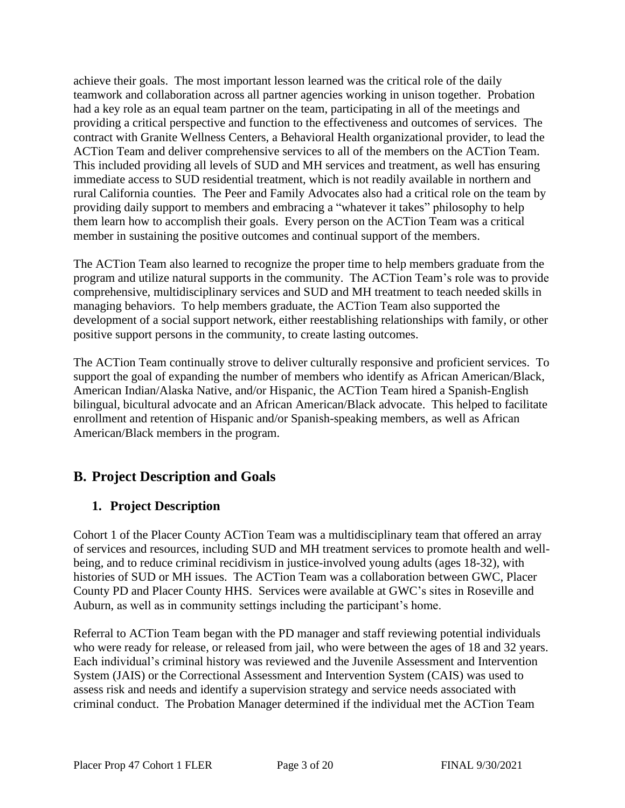achieve their goals. The most important lesson learned was the critical role of the daily teamwork and collaboration across all partner agencies working in unison together. Probation had a key role as an equal team partner on the team, participating in all of the meetings and providing a critical perspective and function to the effectiveness and outcomes of services. The contract with Granite Wellness Centers, a Behavioral Health organizational provider, to lead the ACTion Team and deliver comprehensive services to all of the members on the ACTion Team. This included providing all levels of SUD and MH services and treatment, as well has ensuring immediate access to SUD residential treatment, which is not readily available in northern and rural California counties. The Peer and Family Advocates also had a critical role on the team by providing daily support to members and embracing a "whatever it takes" philosophy to help them learn how to accomplish their goals. Every person on the ACTion Team was a critical member in sustaining the positive outcomes and continual support of the members.

The ACTion Team also learned to recognize the proper time to help members graduate from the program and utilize natural supports in the community. The ACTion Team's role was to provide comprehensive, multidisciplinary services and SUD and MH treatment to teach needed skills in managing behaviors. To help members graduate, the ACTion Team also supported the development of a social support network, either reestablishing relationships with family, or other positive support persons in the community, to create lasting outcomes.

The ACTion Team continually strove to deliver culturally responsive and proficient services. To support the goal of expanding the number of members who identify as African American/Black, American Indian/Alaska Native, and/or Hispanic, the ACTion Team hired a Spanish-English bilingual, bicultural advocate and an African American/Black advocate. This helped to facilitate enrollment and retention of Hispanic and/or Spanish-speaking members, as well as African American/Black members in the program.

# **B. Project Description and Goals**

# **1. Project Description**

Cohort 1 of the Placer County ACTion Team was a multidisciplinary team that offered an array of services and resources, including SUD and MH treatment services to promote health and wellbeing, and to reduce criminal recidivism in justice-involved young adults (ages 18-32), with histories of SUD or MH issues. The ACTion Team was a collaboration between GWC, Placer County PD and Placer County HHS. Services were available at GWC's sites in Roseville and Auburn, as well as in community settings including the participant's home.

Referral to ACTion Team began with the PD manager and staff reviewing potential individuals who were ready for release, or released from jail, who were between the ages of 18 and 32 years. Each individual's criminal history was reviewed and the Juvenile Assessment and Intervention System (JAIS) or the Correctional Assessment and Intervention System (CAIS) was used to assess risk and needs and identify a supervision strategy and service needs associated with criminal conduct. The Probation Manager determined if the individual met the ACTion Team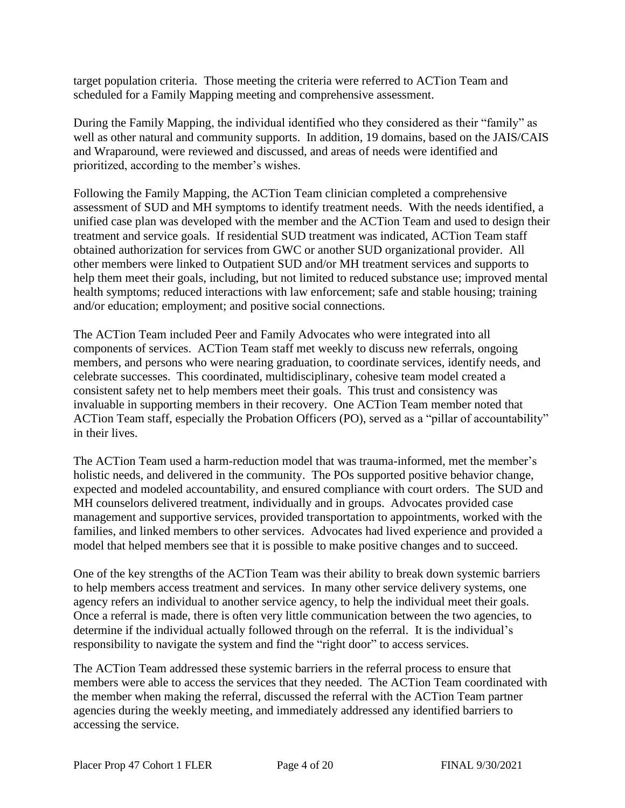target population criteria. Those meeting the criteria were referred to ACTion Team and scheduled for a Family Mapping meeting and comprehensive assessment.

During the Family Mapping, the individual identified who they considered as their "family" as well as other natural and community supports. In addition, 19 domains, based on the JAIS/CAIS and Wraparound, were reviewed and discussed, and areas of needs were identified and prioritized, according to the member's wishes.

Following the Family Mapping, the ACTion Team clinician completed a comprehensive assessment of SUD and MH symptoms to identify treatment needs. With the needs identified, a unified case plan was developed with the member and the ACTion Team and used to design their treatment and service goals. If residential SUD treatment was indicated, ACTion Team staff obtained authorization for services from GWC or another SUD organizational provider. All other members were linked to Outpatient SUD and/or MH treatment services and supports to help them meet their goals, including, but not limited to reduced substance use; improved mental health symptoms; reduced interactions with law enforcement; safe and stable housing; training and/or education; employment; and positive social connections.

The ACTion Team included Peer and Family Advocates who were integrated into all components of services. ACTion Team staff met weekly to discuss new referrals, ongoing members, and persons who were nearing graduation, to coordinate services, identify needs, and celebrate successes. This coordinated, multidisciplinary, cohesive team model created a consistent safety net to help members meet their goals. This trust and consistency was invaluable in supporting members in their recovery. One ACTion Team member noted that ACTion Team staff, especially the Probation Officers (PO), served as a "pillar of accountability" in their lives.

The ACTion Team used a harm-reduction model that was trauma-informed, met the member's holistic needs, and delivered in the community. The POs supported positive behavior change, expected and modeled accountability, and ensured compliance with court orders. The SUD and MH counselors delivered treatment, individually and in groups. Advocates provided case management and supportive services, provided transportation to appointments, worked with the families, and linked members to other services. Advocates had lived experience and provided a model that helped members see that it is possible to make positive changes and to succeed.

One of the key strengths of the ACTion Team was their ability to break down systemic barriers to help members access treatment and services. In many other service delivery systems, one agency refers an individual to another service agency, to help the individual meet their goals. Once a referral is made, there is often very little communication between the two agencies, to determine if the individual actually followed through on the referral. It is the individual's responsibility to navigate the system and find the "right door" to access services.

The ACTion Team addressed these systemic barriers in the referral process to ensure that members were able to access the services that they needed. The ACTion Team coordinated with the member when making the referral, discussed the referral with the ACTion Team partner agencies during the weekly meeting, and immediately addressed any identified barriers to accessing the service.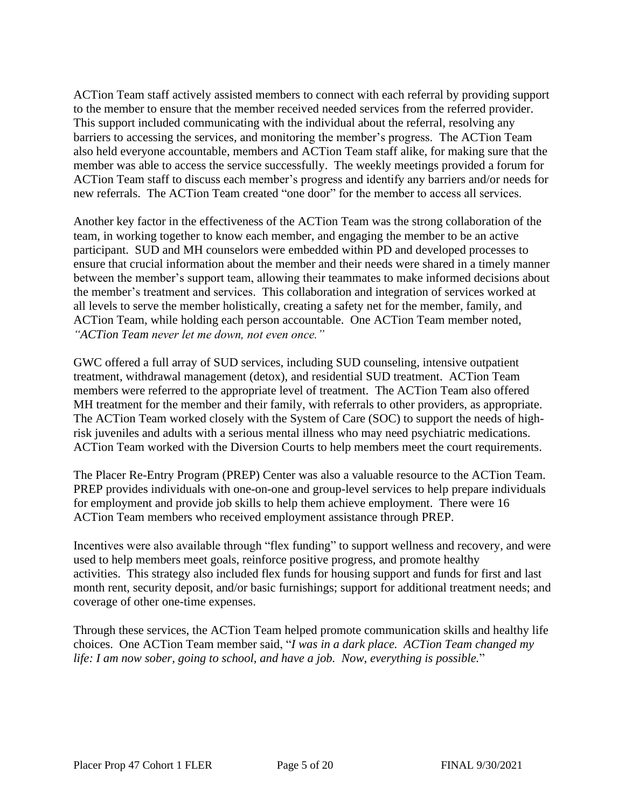ACTion Team staff actively assisted members to connect with each referral by providing support to the member to ensure that the member received needed services from the referred provider. This support included communicating with the individual about the referral, resolving any barriers to accessing the services, and monitoring the member's progress. The ACTion Team also held everyone accountable, members and ACTion Team staff alike, for making sure that the member was able to access the service successfully. The weekly meetings provided a forum for ACTion Team staff to discuss each member's progress and identify any barriers and/or needs for new referrals. The ACTion Team created "one door" for the member to access all services.

Another key factor in the effectiveness of the ACTion Team was the strong collaboration of the team, in working together to know each member, and engaging the member to be an active participant. SUD and MH counselors were embedded within PD and developed processes to ensure that crucial information about the member and their needs were shared in a timely manner between the member's support team, allowing their teammates to make informed decisions about the member's treatment and services. This collaboration and integration of services worked at all levels to serve the member holistically, creating a safety net for the member, family, and ACTion Team, while holding each person accountable. One ACTion Team member noted, *"ACTion Team never let me down, not even once."*

GWC offered a full array of SUD services, including SUD counseling, intensive outpatient treatment, withdrawal management (detox), and residential SUD treatment. ACTion Team members were referred to the appropriate level of treatment. The ACTion Team also offered MH treatment for the member and their family, with referrals to other providers, as appropriate. The ACTion Team worked closely with the System of Care (SOC) to support the needs of highrisk juveniles and adults with a serious mental illness who may need psychiatric medications. ACTion Team worked with the Diversion Courts to help members meet the court requirements.

The Placer Re-Entry Program (PREP) Center was also a valuable resource to the ACTion Team. PREP provides individuals with one-on-one and group-level services to help prepare individuals for employment and provide job skills to help them achieve employment. There were 16 ACTion Team members who received employment assistance through PREP.

Incentives were also available through "flex funding" to support wellness and recovery, and were used to help members meet goals, reinforce positive progress, and promote healthy activities. This strategy also included flex funds for housing support and funds for first and last month rent, security deposit, and/or basic furnishings; support for additional treatment needs; and coverage of other one-time expenses.

Through these services, the ACTion Team helped promote communication skills and healthy life choices. One ACTion Team member said, "*I was in a dark place. ACTion Team changed my life: I am now sober, going to school, and have a job. Now, everything is possible.*"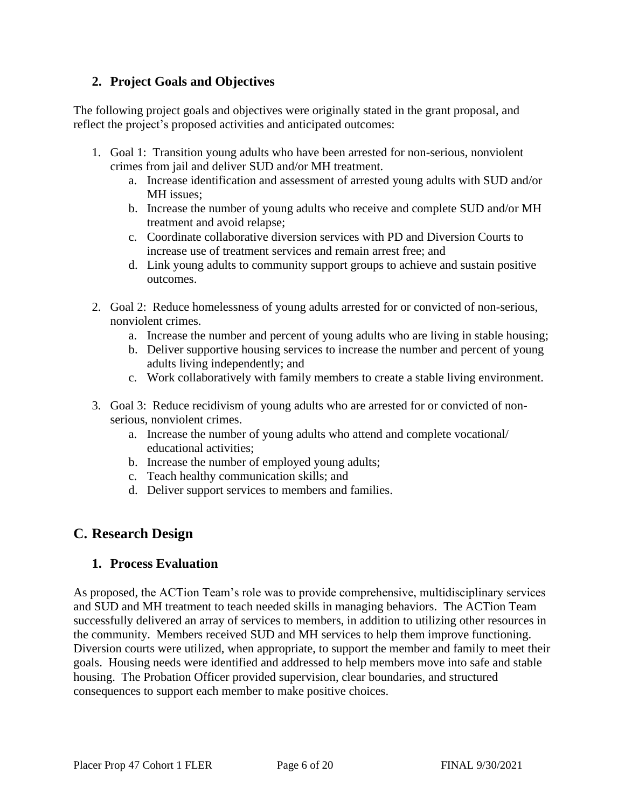# **2. Project Goals and Objectives**

The following project goals and objectives were originally stated in the grant proposal, and reflect the project's proposed activities and anticipated outcomes:

- 1. Goal 1: Transition young adults who have been arrested for non-serious, nonviolent crimes from jail and deliver SUD and/or MH treatment.
	- a. Increase identification and assessment of arrested young adults with SUD and/or MH issues;
	- b. Increase the number of young adults who receive and complete SUD and/or MH treatment and avoid relapse;
	- c. Coordinate collaborative diversion services with PD and Diversion Courts to increase use of treatment services and remain arrest free; and
	- d. Link young adults to community support groups to achieve and sustain positive outcomes.
- 2. Goal 2: Reduce homelessness of young adults arrested for or convicted of non-serious, nonviolent crimes.
	- a. Increase the number and percent of young adults who are living in stable housing;
	- b. Deliver supportive housing services to increase the number and percent of young adults living independently; and
	- c. Work collaboratively with family members to create a stable living environment.
- 3. Goal 3: Reduce recidivism of young adults who are arrested for or convicted of nonserious, nonviolent crimes.
	- a. Increase the number of young adults who attend and complete vocational/ educational activities;
	- b. Increase the number of employed young adults;
	- c. Teach healthy communication skills; and
	- d. Deliver support services to members and families.

# **C. Research Design**

# **1. Process Evaluation**

As proposed, the ACTion Team's role was to provide comprehensive, multidisciplinary services and SUD and MH treatment to teach needed skills in managing behaviors. The ACTion Team successfully delivered an array of services to members, in addition to utilizing other resources in the community. Members received SUD and MH services to help them improve functioning. Diversion courts were utilized, when appropriate, to support the member and family to meet their goals. Housing needs were identified and addressed to help members move into safe and stable housing. The Probation Officer provided supervision, clear boundaries, and structured consequences to support each member to make positive choices.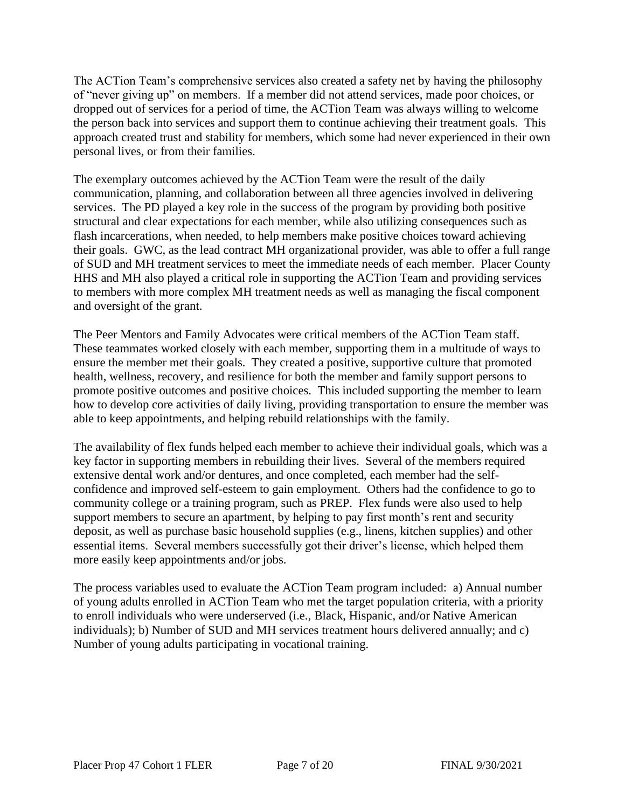The ACTion Team's comprehensive services also created a safety net by having the philosophy of "never giving up" on members. If a member did not attend services, made poor choices, or dropped out of services for a period of time, the ACTion Team was always willing to welcome the person back into services and support them to continue achieving their treatment goals. This approach created trust and stability for members, which some had never experienced in their own personal lives, or from their families.

The exemplary outcomes achieved by the ACTion Team were the result of the daily communication, planning, and collaboration between all three agencies involved in delivering services. The PD played a key role in the success of the program by providing both positive structural and clear expectations for each member, while also utilizing consequences such as flash incarcerations, when needed, to help members make positive choices toward achieving their goals. GWC, as the lead contract MH organizational provider, was able to offer a full range of SUD and MH treatment services to meet the immediate needs of each member. Placer County HHS and MH also played a critical role in supporting the ACTion Team and providing services to members with more complex MH treatment needs as well as managing the fiscal component and oversight of the grant.

The Peer Mentors and Family Advocates were critical members of the ACTion Team staff. These teammates worked closely with each member, supporting them in a multitude of ways to ensure the member met their goals. They created a positive, supportive culture that promoted health, wellness, recovery, and resilience for both the member and family support persons to promote positive outcomes and positive choices. This included supporting the member to learn how to develop core activities of daily living, providing transportation to ensure the member was able to keep appointments, and helping rebuild relationships with the family.

The availability of flex funds helped each member to achieve their individual goals, which was a key factor in supporting members in rebuilding their lives. Several of the members required extensive dental work and/or dentures, and once completed, each member had the selfconfidence and improved self-esteem to gain employment. Others had the confidence to go to community college or a training program, such as PREP. Flex funds were also used to help support members to secure an apartment, by helping to pay first month's rent and security deposit, as well as purchase basic household supplies (e.g., linens, kitchen supplies) and other essential items. Several members successfully got their driver's license, which helped them more easily keep appointments and/or jobs.

The process variables used to evaluate the ACTion Team program included: a) Annual number of young adults enrolled in ACTion Team who met the target population criteria, with a priority to enroll individuals who were underserved (i.e., Black, Hispanic, and/or Native American individuals); b) Number of SUD and MH services treatment hours delivered annually; and c) Number of young adults participating in vocational training.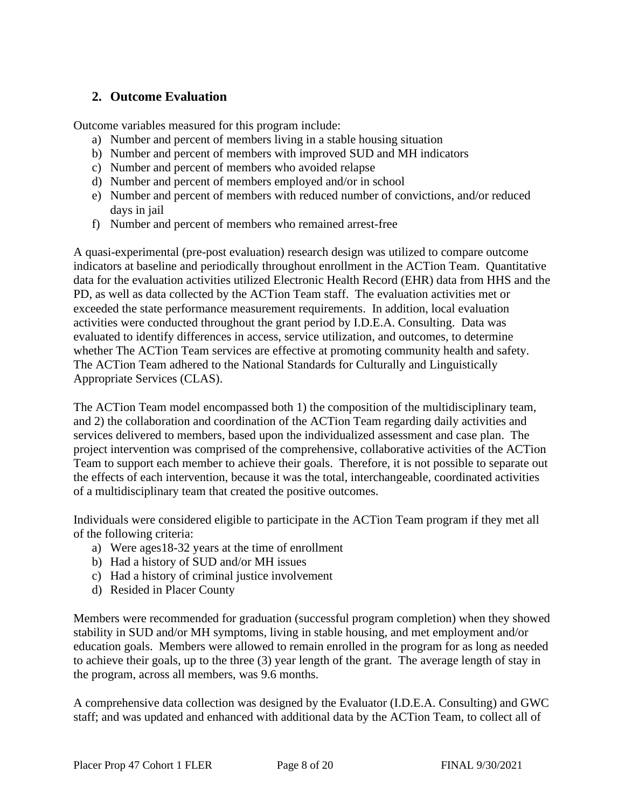## **2. Outcome Evaluation**

Outcome variables measured for this program include:

- a) Number and percent of members living in a stable housing situation
- b) Number and percent of members with improved SUD and MH indicators
- c) Number and percent of members who avoided relapse
- d) Number and percent of members employed and/or in school
- e) Number and percent of members with reduced number of convictions, and/or reduced days in jail
- f) Number and percent of members who remained arrest-free

A quasi-experimental (pre-post evaluation) research design was utilized to compare outcome indicators at baseline and periodically throughout enrollment in the ACTion Team. Quantitative data for the evaluation activities utilized Electronic Health Record (EHR) data from HHS and the PD, as well as data collected by the ACTion Team staff. The evaluation activities met or exceeded the state performance measurement requirements. In addition, local evaluation activities were conducted throughout the grant period by I.D.E.A. Consulting. Data was evaluated to identify differences in access, service utilization, and outcomes, to determine whether The ACTion Team services are effective at promoting community health and safety. The ACTion Team adhered to the National Standards for Culturally and Linguistically Appropriate Services (CLAS).

The ACTion Team model encompassed both 1) the composition of the multidisciplinary team, and 2) the collaboration and coordination of the ACTion Team regarding daily activities and services delivered to members, based upon the individualized assessment and case plan. The project intervention was comprised of the comprehensive, collaborative activities of the ACTion Team to support each member to achieve their goals. Therefore, it is not possible to separate out the effects of each intervention, because it was the total, interchangeable, coordinated activities of a multidisciplinary team that created the positive outcomes.

Individuals were considered eligible to participate in the ACTion Team program if they met all of the following criteria:

- a) Were ages18-32 years at the time of enrollment
- b) Had a history of SUD and/or MH issues
- c) Had a history of criminal justice involvement
- d) Resided in Placer County

Members were recommended for graduation (successful program completion) when they showed stability in SUD and/or MH symptoms, living in stable housing, and met employment and/or education goals. Members were allowed to remain enrolled in the program for as long as needed to achieve their goals, up to the three (3) year length of the grant. The average length of stay in the program, across all members, was 9.6 months.

A comprehensive data collection was designed by the Evaluator (I.D.E.A. Consulting) and GWC staff; and was updated and enhanced with additional data by the ACTion Team, to collect all of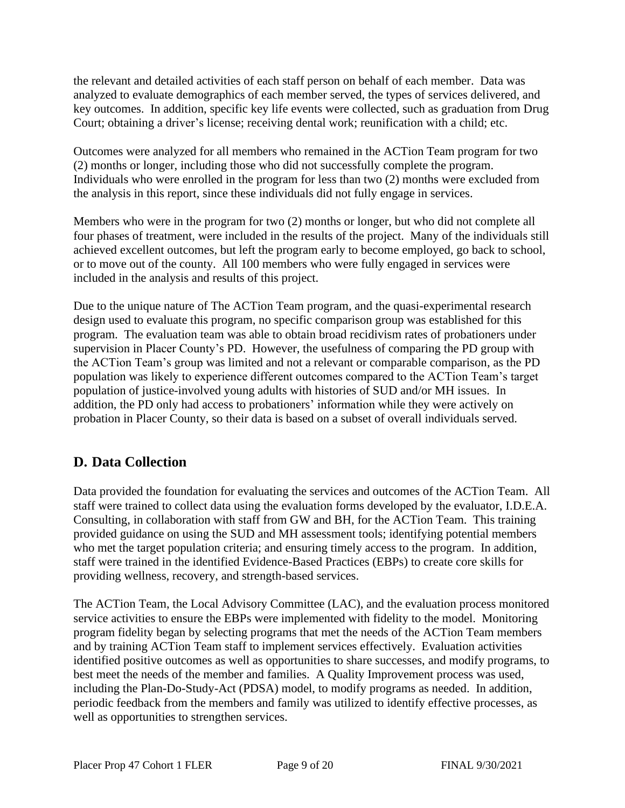the relevant and detailed activities of each staff person on behalf of each member. Data was analyzed to evaluate demographics of each member served, the types of services delivered, and key outcomes. In addition, specific key life events were collected, such as graduation from Drug Court; obtaining a driver's license; receiving dental work; reunification with a child; etc.

Outcomes were analyzed for all members who remained in the ACTion Team program for two (2) months or longer, including those who did not successfully complete the program. Individuals who were enrolled in the program for less than two (2) months were excluded from the analysis in this report, since these individuals did not fully engage in services.

Members who were in the program for two (2) months or longer, but who did not complete all four phases of treatment, were included in the results of the project. Many of the individuals still achieved excellent outcomes, but left the program early to become employed, go back to school, or to move out of the county. All 100 members who were fully engaged in services were included in the analysis and results of this project.

Due to the unique nature of The ACTion Team program, and the quasi-experimental research design used to evaluate this program, no specific comparison group was established for this program. The evaluation team was able to obtain broad recidivism rates of probationers under supervision in Placer County's PD. However, the usefulness of comparing the PD group with the ACTion Team's group was limited and not a relevant or comparable comparison, as the PD population was likely to experience different outcomes compared to the ACTion Team's target population of justice-involved young adults with histories of SUD and/or MH issues. In addition, the PD only had access to probationers' information while they were actively on probation in Placer County, so their data is based on a subset of overall individuals served.

# **D. Data Collection**

Data provided the foundation for evaluating the services and outcomes of the ACTion Team. All staff were trained to collect data using the evaluation forms developed by the evaluator, I.D.E.A. Consulting, in collaboration with staff from GW and BH, for the ACTion Team. This training provided guidance on using the SUD and MH assessment tools; identifying potential members who met the target population criteria; and ensuring timely access to the program. In addition, staff were trained in the identified Evidence-Based Practices (EBPs) to create core skills for providing wellness, recovery, and strength-based services.

The ACTion Team, the Local Advisory Committee (LAC), and the evaluation process monitored service activities to ensure the EBPs were implemented with fidelity to the model. Monitoring program fidelity began by selecting programs that met the needs of the ACTion Team members and by training ACTion Team staff to implement services effectively. Evaluation activities identified positive outcomes as well as opportunities to share successes, and modify programs, to best meet the needs of the member and families. A Quality Improvement process was used, including the Plan-Do-Study-Act (PDSA) model, to modify programs as needed. In addition, periodic feedback from the members and family was utilized to identify effective processes, as well as opportunities to strengthen services.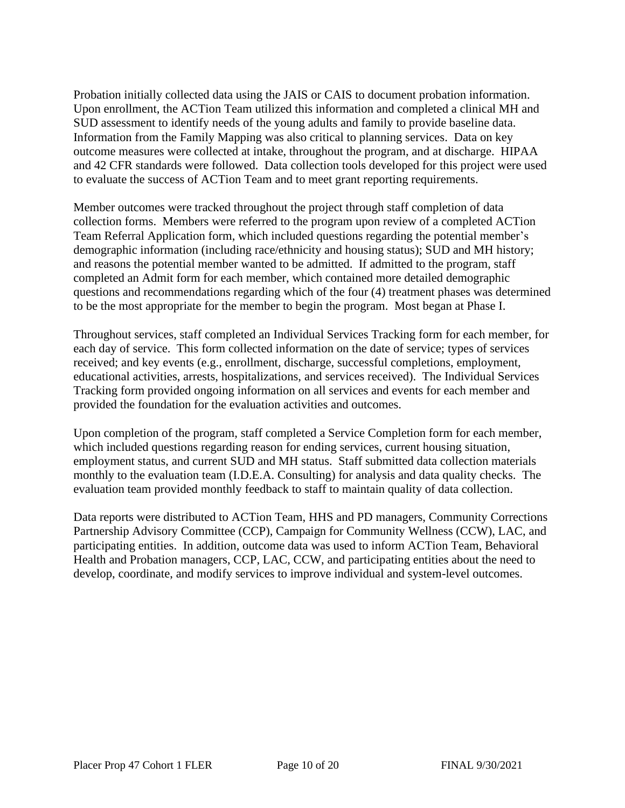Probation initially collected data using the JAIS or CAIS to document probation information. Upon enrollment, the ACTion Team utilized this information and completed a clinical MH and SUD assessment to identify needs of the young adults and family to provide baseline data. Information from the Family Mapping was also critical to planning services. Data on key outcome measures were collected at intake, throughout the program, and at discharge. HIPAA and 42 CFR standards were followed. Data collection tools developed for this project were used to evaluate the success of ACTion Team and to meet grant reporting requirements.

Member outcomes were tracked throughout the project through staff completion of data collection forms. Members were referred to the program upon review of a completed ACTion Team Referral Application form, which included questions regarding the potential member's demographic information (including race/ethnicity and housing status); SUD and MH history; and reasons the potential member wanted to be admitted. If admitted to the program, staff completed an Admit form for each member, which contained more detailed demographic questions and recommendations regarding which of the four (4) treatment phases was determined to be the most appropriate for the member to begin the program. Most began at Phase I.

Throughout services, staff completed an Individual Services Tracking form for each member, for each day of service. This form collected information on the date of service; types of services received; and key events (e.g., enrollment, discharge, successful completions, employment, educational activities, arrests, hospitalizations, and services received). The Individual Services Tracking form provided ongoing information on all services and events for each member and provided the foundation for the evaluation activities and outcomes.

Upon completion of the program, staff completed a Service Completion form for each member, which included questions regarding reason for ending services, current housing situation, employment status, and current SUD and MH status. Staff submitted data collection materials monthly to the evaluation team (I.D.E.A. Consulting) for analysis and data quality checks. The evaluation team provided monthly feedback to staff to maintain quality of data collection.

Data reports were distributed to ACTion Team, HHS and PD managers, Community Corrections Partnership Advisory Committee (CCP), Campaign for Community Wellness (CCW), LAC, and participating entities. In addition, outcome data was used to inform ACTion Team, Behavioral Health and Probation managers, CCP, LAC, CCW, and participating entities about the need to develop, coordinate, and modify services to improve individual and system-level outcomes.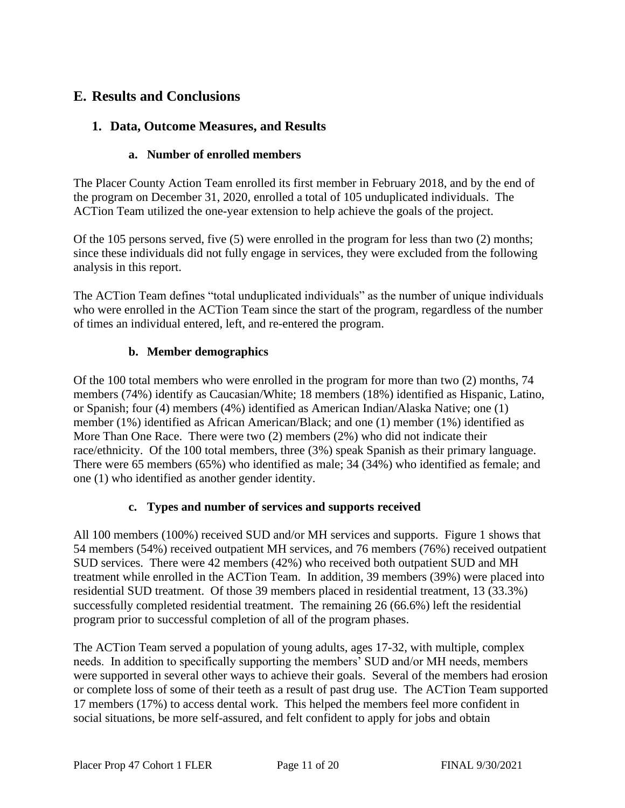# **E. Results and Conclusions**

# **1. Data, Outcome Measures, and Results**

#### **a. Number of enrolled members**

The Placer County Action Team enrolled its first member in February 2018, and by the end of the program on December 31, 2020, enrolled a total of 105 unduplicated individuals. The ACTion Team utilized the one-year extension to help achieve the goals of the project.

Of the 105 persons served, five (5) were enrolled in the program for less than two (2) months; since these individuals did not fully engage in services, they were excluded from the following analysis in this report.

The ACTion Team defines "total unduplicated individuals" as the number of unique individuals who were enrolled in the ACTion Team since the start of the program, regardless of the number of times an individual entered, left, and re-entered the program.

### **b. Member demographics**

Of the 100 total members who were enrolled in the program for more than two (2) months, 74 members (74%) identify as Caucasian/White; 18 members (18%) identified as Hispanic, Latino, or Spanish; four (4) members (4%) identified as American Indian/Alaska Native; one (1) member (1%) identified as African American/Black; and one (1) member (1%) identified as More Than One Race. There were two (2) members (2%) who did not indicate their race/ethnicity. Of the 100 total members, three (3%) speak Spanish as their primary language. There were 65 members (65%) who identified as male; 34 (34%) who identified as female; and one (1) who identified as another gender identity.

#### **c. Types and number of services and supports received**

All 100 members (100%) received SUD and/or MH services and supports. Figure 1 shows that 54 members (54%) received outpatient MH services, and 76 members (76%) received outpatient SUD services. There were 42 members (42%) who received both outpatient SUD and MH treatment while enrolled in the ACTion Team. In addition, 39 members (39%) were placed into residential SUD treatment. Of those 39 members placed in residential treatment, 13 (33.3%) successfully completed residential treatment. The remaining 26 (66.6%) left the residential program prior to successful completion of all of the program phases.

The ACTion Team served a population of young adults, ages 17-32, with multiple, complex needs. In addition to specifically supporting the members' SUD and/or MH needs, members were supported in several other ways to achieve their goals. Several of the members had erosion or complete loss of some of their teeth as a result of past drug use. The ACTion Team supported 17 members (17%) to access dental work. This helped the members feel more confident in social situations, be more self-assured, and felt confident to apply for jobs and obtain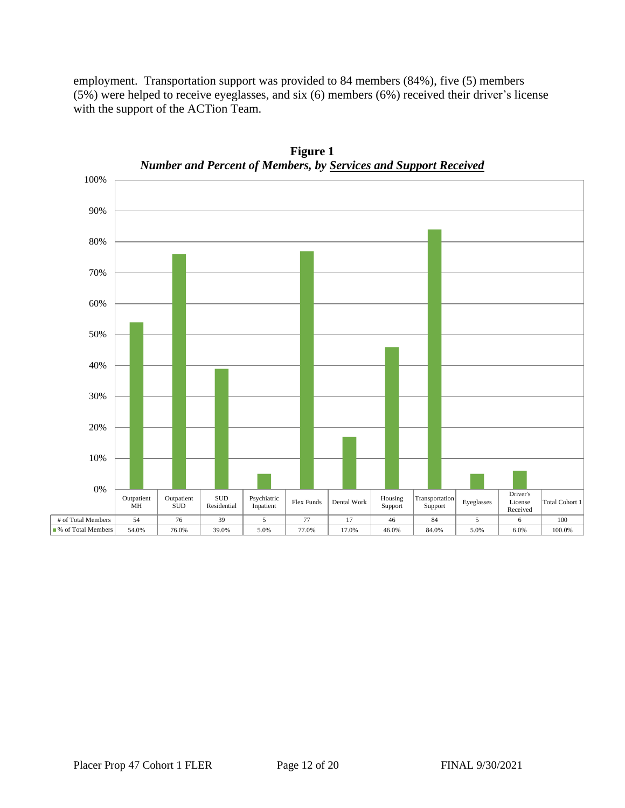employment. Transportation support was provided to 84 members (84%), five (5) members (5%) were helped to receive eyeglasses, and six (6) members (6%) received their driver's license with the support of the ACTion Team.



**Figure 1** *Number and Percent of Members, by Services and Support Received*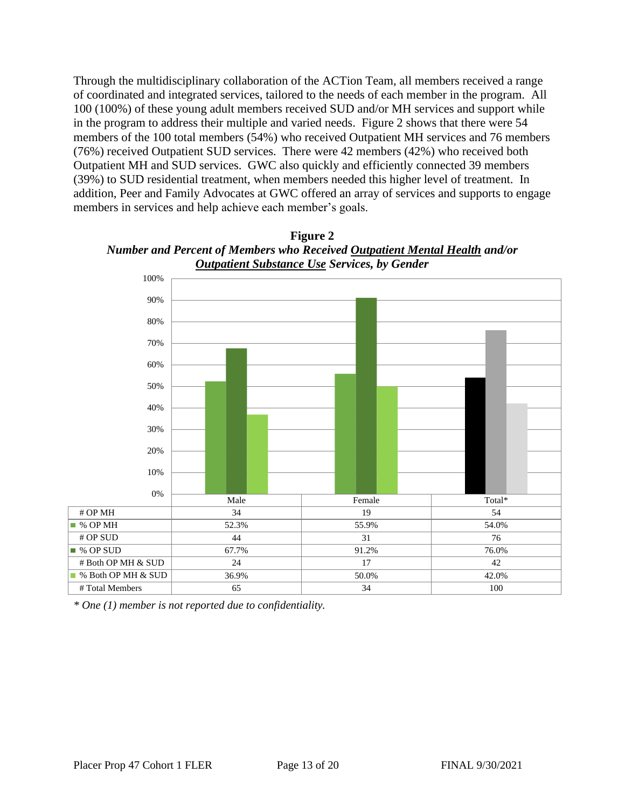Through the multidisciplinary collaboration of the ACTion Team, all members received a range of coordinated and integrated services, tailored to the needs of each member in the program. All 100 (100%) of these young adult members received SUD and/or MH services and support while in the program to address their multiple and varied needs. Figure 2 shows that there were 54 members of the 100 total members (54%) who received Outpatient MH services and 76 members (76%) received Outpatient SUD services. There were 42 members (42%) who received both Outpatient MH and SUD services. GWC also quickly and efficiently connected 39 members (39%) to SUD residential treatment, when members needed this higher level of treatment. In addition, Peer and Family Advocates at GWC offered an array of services and supports to engage members in services and help achieve each member's goals.



**Figure 2** *Number and Percent of Members who Received Outpatient Mental Health and/or Number and Percent of Members who Received Outpatient Mental Health and/or* 

*\* One (1) member is not reported due to confidentiality.*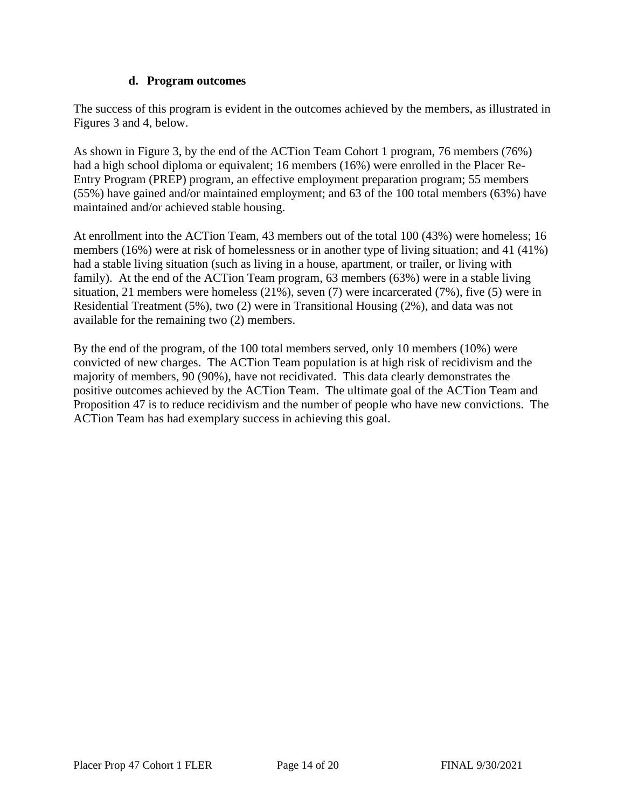#### **d. Program outcomes**

The success of this program is evident in the outcomes achieved by the members, as illustrated in Figures 3 and 4, below.

As shown in Figure 3, by the end of the ACTion Team Cohort 1 program, 76 members (76%) had a high school diploma or equivalent; 16 members (16%) were enrolled in the Placer Re-Entry Program (PREP) program, an effective employment preparation program; 55 members (55%) have gained and/or maintained employment; and 63 of the 100 total members (63%) have maintained and/or achieved stable housing.

At enrollment into the ACTion Team, 43 members out of the total 100 (43%) were homeless; 16 members (16%) were at risk of homelessness or in another type of living situation; and 41 (41%) had a stable living situation (such as living in a house, apartment, or trailer, or living with family). At the end of the ACTion Team program, 63 members (63%) were in a stable living situation, 21 members were homeless (21%), seven (7) were incarcerated (7%), five (5) were in Residential Treatment (5%), two (2) were in Transitional Housing (2%), and data was not available for the remaining two (2) members.

By the end of the program, of the 100 total members served, only 10 members (10%) were convicted of new charges. The ACTion Team population is at high risk of recidivism and the majority of members, 90 (90%), have not recidivated. This data clearly demonstrates the positive outcomes achieved by the ACTion Team. The ultimate goal of the ACTion Team and Proposition 47 is to reduce recidivism and the number of people who have new convictions. The ACTion Team has had exemplary success in achieving this goal.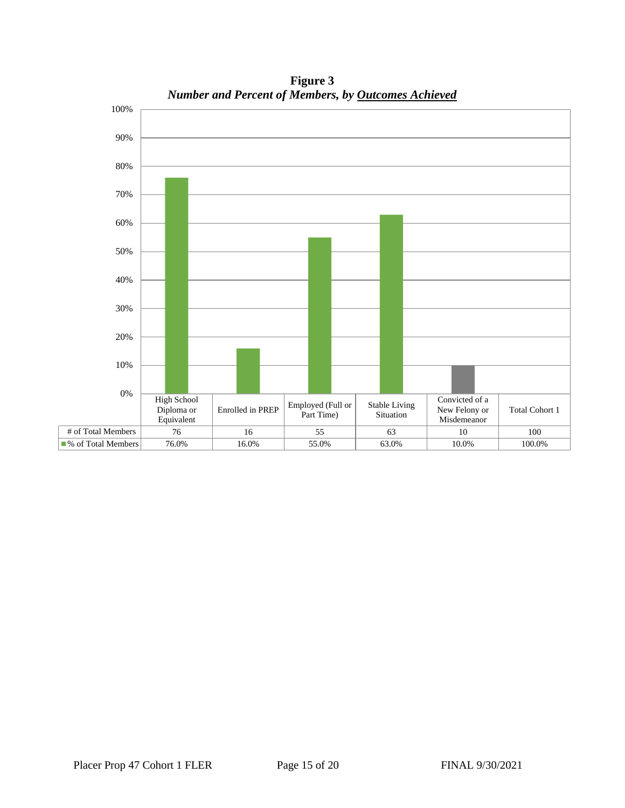

**Figure 3** *Number and Percent of Members, by Outcomes Achieved Number and Percent of Total Members, by Outcomes Achieved*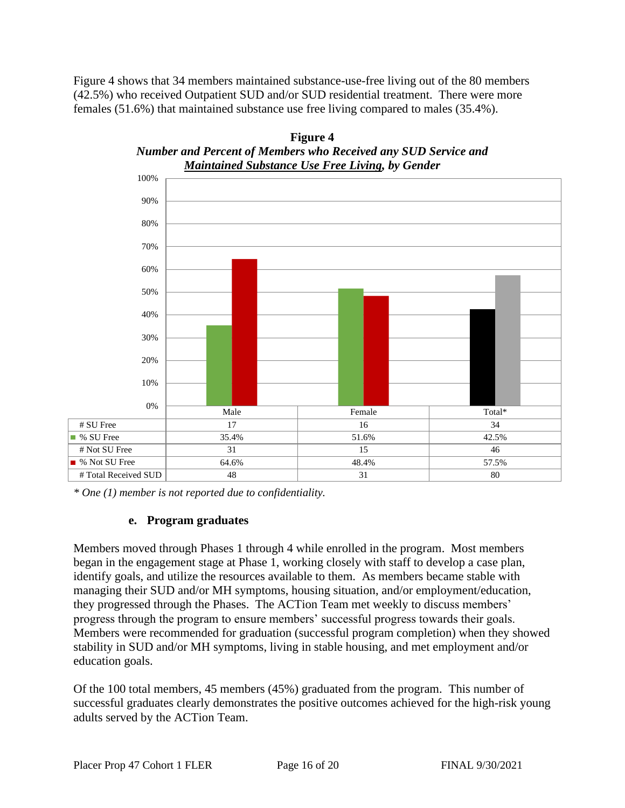Figure 4 shows that 34 members maintained substance-use-free living out of the 80 members (42.5%) who received Outpatient SUD and/or SUD residential treatment. There were more females (51.6%) that maintained substance use free living compared to males (35.4%).





*\* One (1) member is not reported due to confidentiality.*

#### **e. Program graduates**

Members moved through Phases 1 through 4 while enrolled in the program. Most members began in the engagement stage at Phase 1, working closely with staff to develop a case plan, identify goals, and utilize the resources available to them. As members became stable with managing their SUD and/or MH symptoms, housing situation, and/or employment/education, they progressed through the Phases. The ACTion Team met weekly to discuss members' progress through the program to ensure members' successful progress towards their goals. Members were recommended for graduation (successful program completion) when they showed stability in SUD and/or MH symptoms, living in stable housing, and met employment and/or education goals.

Of the 100 total members, 45 members (45%) graduated from the program. This number of successful graduates clearly demonstrates the positive outcomes achieved for the high-risk young adults served by the ACTion Team.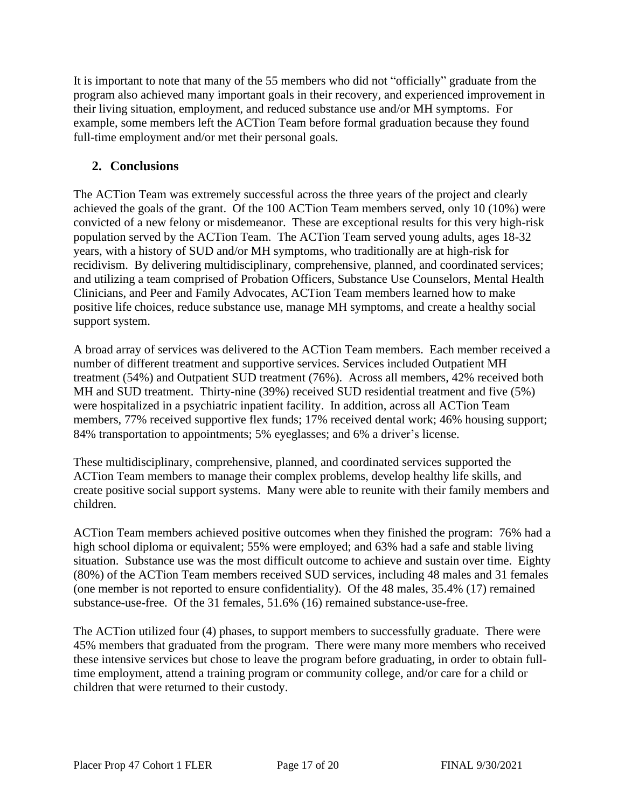It is important to note that many of the 55 members who did not "officially" graduate from the program also achieved many important goals in their recovery, and experienced improvement in their living situation, employment, and reduced substance use and/or MH symptoms. For example, some members left the ACTion Team before formal graduation because they found full-time employment and/or met their personal goals.

# **2. Conclusions**

The ACTion Team was extremely successful across the three years of the project and clearly achieved the goals of the grant. Of the 100 ACTion Team members served, only 10 (10%) were convicted of a new felony or misdemeanor. These are exceptional results for this very high-risk population served by the ACTion Team. The ACTion Team served young adults, ages 18-32 years, with a history of SUD and/or MH symptoms, who traditionally are at high-risk for recidivism. By delivering multidisciplinary, comprehensive, planned, and coordinated services; and utilizing a team comprised of Probation Officers, Substance Use Counselors, Mental Health Clinicians, and Peer and Family Advocates, ACTion Team members learned how to make positive life choices, reduce substance use, manage MH symptoms, and create a healthy social support system.

A broad array of services was delivered to the ACTion Team members. Each member received a number of different treatment and supportive services. Services included Outpatient MH treatment (54%) and Outpatient SUD treatment (76%). Across all members, 42% received both MH and SUD treatment. Thirty-nine (39%) received SUD residential treatment and five (5%) were hospitalized in a psychiatric inpatient facility. In addition, across all ACTion Team members, 77% received supportive flex funds; 17% received dental work; 46% housing support; 84% transportation to appointments; 5% eyeglasses; and 6% a driver's license.

These multidisciplinary, comprehensive, planned, and coordinated services supported the ACTion Team members to manage their complex problems, develop healthy life skills, and create positive social support systems. Many were able to reunite with their family members and children.

ACTion Team members achieved positive outcomes when they finished the program: 76% had a high school diploma or equivalent; 55% were employed; and 63% had a safe and stable living situation. Substance use was the most difficult outcome to achieve and sustain over time. Eighty (80%) of the ACTion Team members received SUD services, including 48 males and 31 females (one member is not reported to ensure confidentiality). Of the 48 males, 35.4% (17) remained substance-use-free. Of the 31 females, 51.6% (16) remained substance-use-free.

The ACTion utilized four (4) phases, to support members to successfully graduate. There were 45% members that graduated from the program. There were many more members who received these intensive services but chose to leave the program before graduating, in order to obtain fulltime employment, attend a training program or community college, and/or care for a child or children that were returned to their custody.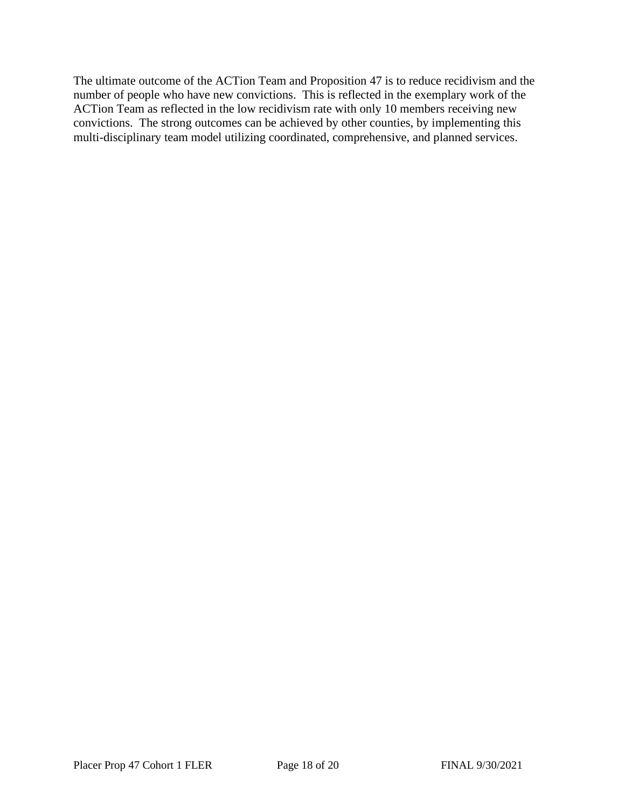The ultimate outcome of the ACTion Team and Proposition 47 is to reduce recidivism and the number of people who have new convictions. This is reflected in the exemplary work of the ACTion Team as reflected in the low recidivism rate with only 10 members receiving new convictions. The strong outcomes can be achieved by other counties, by implementing this multi-disciplinary team model utilizing coordinated, comprehensive, and planned services.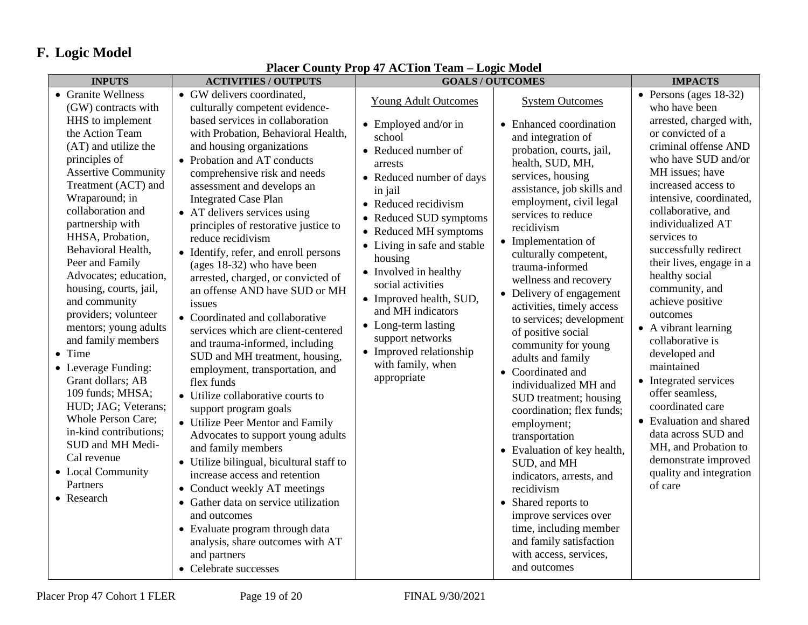# **F. Logic Model**

| <b>INPUTS</b>                                                                                                                                                                                                                                                                                                                                                                                                                                                                                                                                                                                                                                                                               | <b>ACTIVITIES / OUTPUTS</b>                                                                                                                                                                                                                                                                                                                                                                                                                                                                                                                                                                                                                                                                                                                                                                                                                                                                                                                                                                                                                                         | <b>GOALS/OUTCOMES</b>                                                                                                                                                                                                                                                                                                                                                                                                                                               |                                                                                                                                                                                                                                                                                                                                                                                                                                                                                                                                                                                                                                                                                                                                         | <b>IMPACTS</b>                                                                                                                                                                                                                                                                                                                                                                                                                                                                                                                                                                                                                                                                       |
|---------------------------------------------------------------------------------------------------------------------------------------------------------------------------------------------------------------------------------------------------------------------------------------------------------------------------------------------------------------------------------------------------------------------------------------------------------------------------------------------------------------------------------------------------------------------------------------------------------------------------------------------------------------------------------------------|---------------------------------------------------------------------------------------------------------------------------------------------------------------------------------------------------------------------------------------------------------------------------------------------------------------------------------------------------------------------------------------------------------------------------------------------------------------------------------------------------------------------------------------------------------------------------------------------------------------------------------------------------------------------------------------------------------------------------------------------------------------------------------------------------------------------------------------------------------------------------------------------------------------------------------------------------------------------------------------------------------------------------------------------------------------------|---------------------------------------------------------------------------------------------------------------------------------------------------------------------------------------------------------------------------------------------------------------------------------------------------------------------------------------------------------------------------------------------------------------------------------------------------------------------|-----------------------------------------------------------------------------------------------------------------------------------------------------------------------------------------------------------------------------------------------------------------------------------------------------------------------------------------------------------------------------------------------------------------------------------------------------------------------------------------------------------------------------------------------------------------------------------------------------------------------------------------------------------------------------------------------------------------------------------------|--------------------------------------------------------------------------------------------------------------------------------------------------------------------------------------------------------------------------------------------------------------------------------------------------------------------------------------------------------------------------------------------------------------------------------------------------------------------------------------------------------------------------------------------------------------------------------------------------------------------------------------------------------------------------------------|
| • Granite Wellness<br>(GW) contracts with<br>HHS to implement<br>the Action Team<br>(AT) and utilize the<br>principles of<br><b>Assertive Community</b><br>Treatment (ACT) and<br>Wraparound; in<br>collaboration and<br>partnership with<br>HHSA, Probation,<br>Behavioral Health,<br>Peer and Family<br>Advocates; education,<br>housing, courts, jail,<br>and community<br>providers; volunteer<br>mentors; young adults<br>and family members<br>• Time<br>• Leverage Funding:<br>Grant dollars; AB<br>109 funds; MHSA;<br>HUD; JAG; Veterans;<br><b>Whole Person Care;</b><br>in-kind contributions;<br>SUD and MH Medi-<br>Cal revenue<br>• Local Community<br>Partners<br>• Research | • GW delivers coordinated,<br>culturally competent evidence-<br>based services in collaboration<br>with Probation, Behavioral Health,<br>and housing organizations<br>• Probation and AT conducts<br>comprehensive risk and needs<br>assessment and develops an<br><b>Integrated Case Plan</b><br>• AT delivers services using<br>principles of restorative justice to<br>reduce recidivism<br>• Identify, refer, and enroll persons<br>(ages 18-32) who have been<br>arrested, charged, or convicted of<br>an offense AND have SUD or MH<br>issues<br>• Coordinated and collaborative<br>services which are client-centered<br>and trauma-informed, including<br>SUD and MH treatment, housing,<br>employment, transportation, and<br>flex funds<br>• Utilize collaborative courts to<br>support program goals<br>• Utilize Peer Mentor and Family<br>Advocates to support young adults<br>and family members<br>• Utilize bilingual, bicultural staff to<br>increase access and retention<br>• Conduct weekly AT meetings<br>• Gather data on service utilization | <b>Young Adult Outcomes</b><br>• Employed and/or in<br>school<br>• Reduced number of<br>arrests<br>• Reduced number of days<br>in jail<br>• Reduced recidivism<br>• Reduced SUD symptoms<br>• Reduced MH symptoms<br>• Living in safe and stable<br>housing<br>• Involved in healthy<br>social activities<br>• Improved health, SUD,<br>and MH indicators<br>• Long-term lasting<br>support networks<br>• Improved relationship<br>with family, when<br>appropriate | <b>System Outcomes</b><br>• Enhanced coordination<br>and integration of<br>probation, courts, jail,<br>health, SUD, MH,<br>services, housing<br>assistance, job skills and<br>employment, civil legal<br>services to reduce<br>recidivism<br>• Implementation of<br>culturally competent,<br>trauma-informed<br>wellness and recovery<br>• Delivery of engagement<br>activities, timely access<br>to services; development<br>of positive social<br>community for young<br>adults and family<br>• Coordinated and<br>individualized MH and<br>SUD treatment; housing<br>coordination; flex funds;<br>employment;<br>transportation<br>• Evaluation of key health,<br>SUD, and MH<br>indicators, arrests, and<br>recidivism<br>$\bullet$ | • Persons (ages $18-32$ )<br>who have been<br>arrested, charged with,<br>or convicted of a<br>criminal offense AND<br>who have SUD and/or<br>MH issues; have<br>increased access to<br>intensive, coordinated,<br>collaborative, and<br>individualized AT<br>services to<br>successfully redirect<br>their lives, engage in a<br>healthy social<br>community, and<br>achieve positive<br>outcomes<br>• A vibrant learning<br>collaborative is<br>developed and<br>maintained<br>• Integrated services<br>offer seamless,<br>coordinated care<br>• Evaluation and shared<br>data across SUD and<br>MH, and Probation to<br>demonstrate improved<br>quality and integration<br>of care |
|                                                                                                                                                                                                                                                                                                                                                                                                                                                                                                                                                                                                                                                                                             | and outcomes<br>• Evaluate program through data<br>analysis, share outcomes with AT<br>and partners<br>• Celebrate successes                                                                                                                                                                                                                                                                                                                                                                                                                                                                                                                                                                                                                                                                                                                                                                                                                                                                                                                                        |                                                                                                                                                                                                                                                                                                                                                                                                                                                                     | Shared reports to<br>improve services over<br>time, including member<br>and family satisfaction<br>with access, services,<br>and outcomes                                                                                                                                                                                                                                                                                                                                                                                                                                                                                                                                                                                               |                                                                                                                                                                                                                                                                                                                                                                                                                                                                                                                                                                                                                                                                                      |